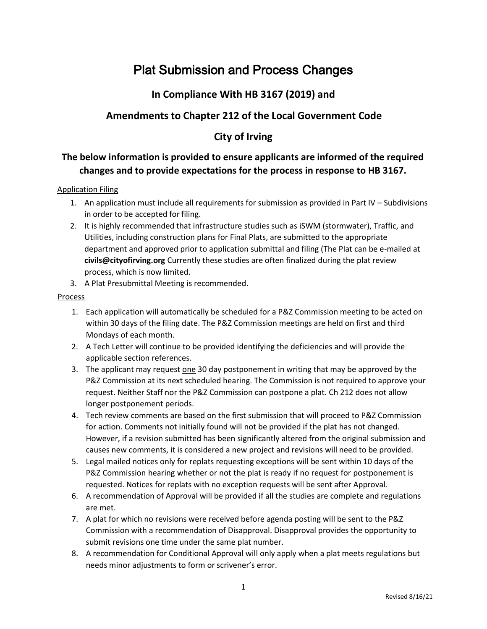# Plat Submission and Process Changes

### **In Compliance With HB 3167 (2019) and**

### **Amendments to Chapter 212 of the Local Government Code**

### **City of Irving**

### **The below information is provided to ensure applicants are informed of the required changes and to provide expectations for the process in response to HB 3167.**

#### Application Filing

- 1. An application must include all requirements for submission as provided in Part IV Subdivisions in order to be accepted for filing.
- 2. It is highly recommended that infrastructure studies such as iSWM (stormwater), Traffic, and Utilities, including construction plans for Final Plats, are submitted to the appropriate department and approved prior to application submittal and filing (The Plat can be e-mailed at **civils@cityofirving.org** Currently these studies are often finalized during the plat review process, which is now limited.
- 3. A Plat Presubmittal Meeting is recommended.

#### Process

- 1. Each application will automatically be scheduled for a P&Z Commission meeting to be acted on within 30 days of the filing date. The P&Z Commission meetings are held on first and third Mondays of each month.
- 2. A Tech Letter will continue to be provided identifying the deficiencies and will provide the applicable section references.
- 3. The applicant may request one 30 day postponement in writing that may be approved by the P&Z Commission at its next scheduled hearing. The Commission is not required to approve your request. Neither Staff nor the P&Z Commission can postpone a plat. Ch 212 does not allow longer postponement periods.
- 4. Tech review comments are based on the first submission that will proceed to P&Z Commission for action. Comments not initially found will not be provided if the plat has not changed. However, if a revision submitted has been significantly altered from the original submission and causes new comments, it is considered a new project and revisions will need to be provided.
- 5. Legal mailed notices only for replats requesting exceptions will be sent within 10 days of the P&Z Commission hearing whether or not the plat is ready if no request for postponement is requested. Notices for replats with no exception requests will be sent after Approval.
- 6. A recommendation of Approval will be provided if all the studies are complete and regulations are met.
- 7. A plat for which no revisions were received before agenda posting will be sent to the P&Z Commission with a recommendation of Disapproval. Disapproval provides the opportunity to submit revisions one time under the same plat number.
- 8. A recommendation for Conditional Approval will only apply when a plat meets regulations but needs minor adjustments to form or scrivener's error.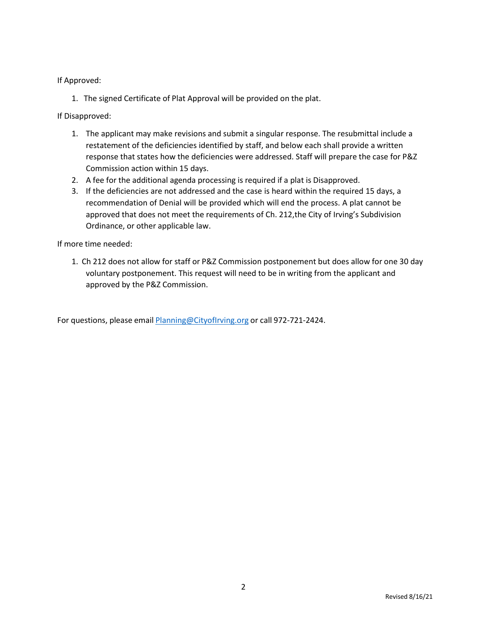If Approved:

1. The signed Certificate of Plat Approval will be provided on the plat.

If Disapproved:

- 1. The applicant may make revisions and submit a singular response. The resubmittal include a restatement of the deficiencies identified by staff, and below each shall provide a written response that states how the deficiencies were addressed. Staff will prepare the case for P&Z Commission action within 15 days.
- 2. A fee for the additional agenda processing is required if a plat is Disapproved.
- 3. If the deficiencies are not addressed and the case is heard within the required 15 days, a recommendation of Denial will be provided which will end the process. A plat cannot be approved that does not meet the requirements of Ch. 212,the City of Irving's Subdivision Ordinance, or other applicable law.

If more time needed:

1. Ch 212 does not allow for staff or P&Z Commission postponement but does allow for one 30 day voluntary postponement. This request will need to be in writing from the applicant and approved by the P&Z Commission.

For questions, please email [Planning@CityofIrving.org](mailto:Planning@CityofIrving.org) or call 972-721-2424.